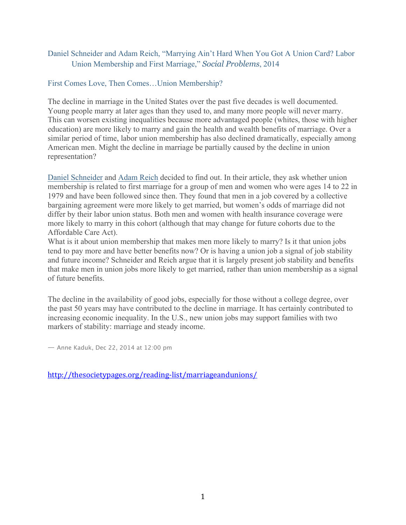## Daniel Schneider and Adam Reich, "Marrying Ain't Hard When You Got A Union Card? Labor Union Membership and First Marriage," *Social Problems*, 2014

#### First Comes Love, Then Comes…Union Membership?

The decline in marriage in the United States over the past five decades is well documented. Young people marry at later ages than they used to, and many more people will never marry. This can worsen existing inequalities because more advantaged people (whites, those with higher education) are more likely to marry and gain the health and wealth benefits of marriage. Over a similar period of time, labor union membership has also declined dramatically, especially among American men. Might the decline in marriage be partially caused by the decline in union representation?

Daniel Schneider and Adam Reich decided to find out. In their article, they ask whether union membership is related to first marriage for a group of men and women who were ages 14 to 22 in 1979 and have been followed since then. They found that men in a job covered by a collective bargaining agreement were more likely to get married, but women's odds of marriage did not differ by their labor union status. Both men and women with health insurance coverage were more likely to marry in this cohort (although that may change for future cohorts due to the Affordable Care Act).

What is it about union membership that makes men more likely to marry? Is it that union jobs tend to pay more and have better benefits now? Or is having a union job a signal of job stability and future income? Schneider and Reich argue that it is largely present job stability and benefits that make men in union jobs more likely to get married, rather than union membership as a signal of future benefits.

The decline in the availability of good jobs, especially for those without a college degree, over the past 50 years may have contributed to the decline in marriage. It has certainly contributed to increasing economic inequality. In the U.S., new union jobs may support families with two markers of stability: marriage and steady income.

— Anne Kaduk, Dec 22, 2014 at 12:00 pm

http://thesocietypages.org/reading-list/marriageandunions/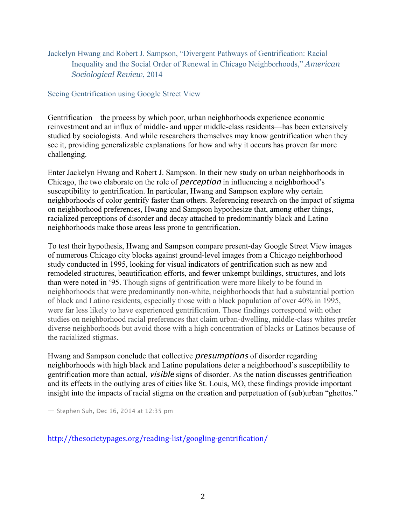# Jackelyn Hwang and Robert J. Sampson, "Divergent Pathways of Gentrification: Racial Inequality and the Social Order of Renewal in Chicago Neighborhoods," *American Sociological Review*, 2014

#### Seeing Gentrification using Google Street View

Gentrification—the process by which poor, urban neighborhoods experience economic reinvestment and an influx of middle- and upper middle-class residents—has been extensively studied by sociologists. And while researchers themselves may know gentrification when they see it, providing generalizable explanations for how and why it occurs has proven far more challenging.

Enter Jackelyn Hwang and Robert J. Sampson. In their new study on urban neighborhoods in Chicago, the two elaborate on the role of perception in influencing a neighborhood's susceptibility to gentrification. In particular, Hwang and Sampson explore why certain neighborhoods of color gentrify faster than others. Referencing research on the impact of stigma on neighborhood preferences, Hwang and Sampson hypothesize that, among other things, racialized perceptions of disorder and decay attached to predominantly black and Latino neighborhoods make those areas less prone to gentrification.

To test their hypothesis, Hwang and Sampson compare present-day Google Street View images of numerous Chicago city blocks against ground-level images from a Chicago neighborhood study conducted in 1995, looking for visual indicators of gentrification such as new and remodeled structures, beautification efforts, and fewer unkempt buildings, structures, and lots than were noted in '95. Though signs of gentrification were more likely to be found in neighborhoods that were predominantly non-white, neighborhoods that had a substantial portion of black and Latino residents, especially those with a black population of over 40% in 1995, were far less likely to have experienced gentrification. These findings correspond with other studies on neighborhood racial preferences that claim urban-dwelling, middle-class whites prefer diverse neighborhoods but avoid those with a high concentration of blacks or Latinos because of the racialized stigmas.

Hwang and Sampson conclude that collective presumptions of disorder regarding neighborhoods with high black and Latino populations deter a neighborhood's susceptibility to gentrification more than actual, visible signs of disorder. As the nation discusses gentrification and its effects in the outlying ares of cities like St. Louis, MO, these findings provide important insight into the impacts of racial stigma on the creation and perpetuation of (sub)urban "ghettos."

— Stephen Suh, Dec 16, 2014 at 12:35 pm

http://thesocietypages.org/reading-list/googling-gentrification/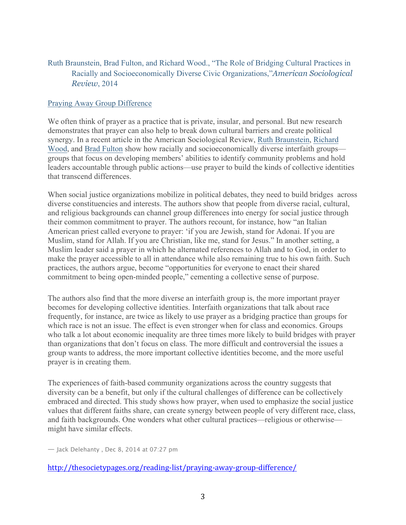# Ruth Braunstein, Brad Fulton, and Richard Wood., "The Role of Bridging Cultural Practices in Racially and Socioeconomically Diverse Civic Organizations,"*American Sociological Review*, 2014

#### Praying Away Group Difference

We often think of prayer as a practice that is private, insular, and personal. But new research demonstrates that prayer can also help to break down cultural barriers and create political synergy. In a recent article in the American Sociological Review, Ruth Braunstein, Richard Wood, and Brad Fulton show how racially and socioeconomically diverse interfaith groups groups that focus on developing members' abilities to identify community problems and hold leaders accountable through public actions—use prayer to build the kinds of collective identities that transcend differences.

When social justice organizations mobilize in political debates, they need to build bridges across diverse constituencies and interests. The authors show that people from diverse racial, cultural, and religious backgrounds can channel group differences into energy for social justice through their common commitment to prayer. The authors recount, for instance, how "an Italian American priest called everyone to prayer: 'if you are Jewish, stand for Adonai. If you are Muslim, stand for Allah. If you are Christian, like me, stand for Jesus." In another setting, a Muslim leader said a prayer in which he alternated references to Allah and to God, in order to make the prayer accessible to all in attendance while also remaining true to his own faith. Such practices, the authors argue, become "opportunities for everyone to enact their shared commitment to being open-minded people," cementing a collective sense of purpose.

The authors also find that the more diverse an interfaith group is, the more important prayer becomes for developing collective identities. Interfaith organizations that talk about race frequently, for instance, are twice as likely to use prayer as a bridging practice than groups for which race is not an issue. The effect is even stronger when for class and economics. Groups who talk a lot about economic inequality are three times more likely to build bridges with prayer than organizations that don't focus on class. The more difficult and controversial the issues a group wants to address, the more important collective identities become, and the more useful prayer is in creating them.

The experiences of faith-based community organizations across the country suggests that diversity can be a benefit, but only if the cultural challenges of difference can be collectively embraced and directed. This study shows how prayer, when used to emphasize the social justice values that different faiths share, can create synergy between people of very different race, class, and faith backgrounds. One wonders what other cultural practices—religious or otherwise might have similar effects.

— Jack Delehanty , Dec 8, 2014 at 07:27 pm

http://thesocietypages.org/reading-list/praying-away-group-difference/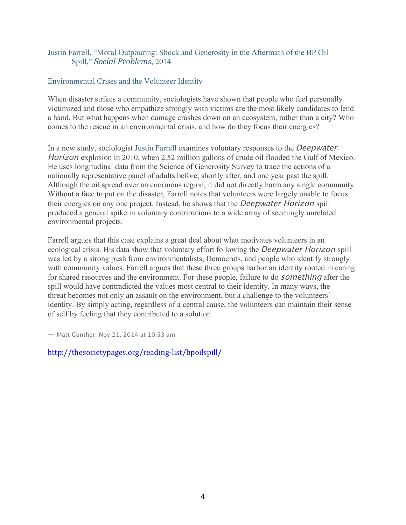## Justin Farrell, "Moral Outpouring: Shock and Generosity in the Aftermath of the BP Oil Spill," *Social Problems*, 2014

#### Environmental Crises and the Volunteer Identity

When disaster strikes a community, sociologists have shown that people who feel personally victimized and those who empathize strongly with victims are the most likely candidates to lend a hand. But what happens when damage crashes down on an ecosystem, rather than a city? Who comes to the rescue in an environmental crisis, and how do they focus their energies?

In a new study, sociologist Justin Farrell examines voluntary responses to the Deepwater Horizon explosion in 2010, when 2.52 million gallons of crude oil flooded the Gulf of Mexico. He uses longitudinal data from the Science of Generosity Survey to trace the actions of a nationally representative panel of adults before, shortly after, and one year past the spill. Although the oil spread over an enormous region, it did not directly harm any single community. Without a face to put on the disaster, Farrell notes that volunteers were largely unable to focus their energies on any one project. Instead, he shows that the Deepwater Horizon spill produced a general spike in voluntary contributions to a wide array of seemingly unrelated environmental projects.

Farrell argues that this case explains a great deal about what motivates volunteers in an ecological crisis. His data show that voluntary effort following the *Deepwater Horizon* spill was led by a strong push from environmentalists, Democrats, and people who identify strongly with community values. Farrell argues that these three groups harbor an identity rooted in caring for shared resources and the environment. For these people, failure to do *something* after the spill would have contradicted the values most central to their identity. In many ways, the threat becomes not only an assault on the environment, but a challenge to the volunteers' identity. By simply acting, regardless of a central cause, the volunteers can maintain their sense of self by feeling that they contributed to a solution.

— Matt Gunther, Nov 21, 2014 at 10:53 am

http://thesocietypages.org/reading-list/bpoilspill/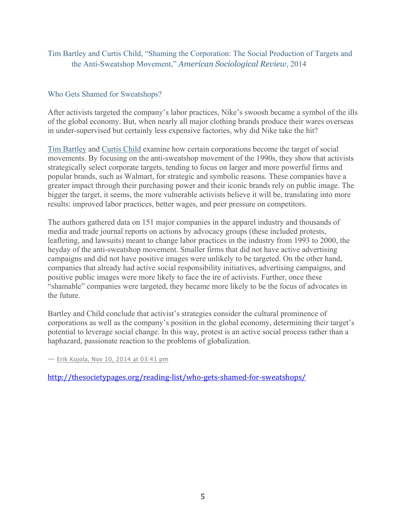Tim Bartley and Curtis Child, "Shaming the Corporation: The Social Production of Targets and the Anti-Sweatshop Movement," *American Sociological Review*, 2014

## Who Gets Shamed for Sweatshops?

After activists targeted the company's labor practices, Nike's swoosh became a symbol of the ills of the global economy. But, when nearly all major clothing brands produce their wares overseas in under-supervised but certainly less expensive factories, why did Nike take the hit?

Tim Bartley and Curtis Child examine how certain corporations become the target of social movements. By focusing on the anti-sweatshop movement of the 1990s, they show that activists strategically select corporate targets, tending to focus on larger and more powerful firms and popular brands, such as Walmart, for strategic and symbolic reasons. These companies have a greater impact through their purchasing power and their iconic brands rely on public image. The bigger the target, it seems, the more vulnerable activists believe it will be, translating into more results: improved labor practices, better wages, and peer pressure on competitors.

The authors gathered data on 151 major companies in the apparel industry and thousands of media and trade journal reports on actions by advocacy groups (these included protests, leafleting, and lawsuits) meant to change labor practices in the industry from 1993 to 2000, the heyday of the anti-sweatshop movement. Smaller firms that did not have active advertising campaigns and did not have positive images were unlikely to be targeted. On the other hand, companies that already had active social responsibility initiatives, advertising campaigns, and positive public images were more likely to face the ire of activists. Further, once these "shamable" companies were targeted, they became more likely to be the focus of advocates in the future.

Bartley and Child conclude that activist's strategies consider the cultural prominence of corporations as well as the company's position in the global economy, determining their target's potential to leverage social change. In this way, protest is an active social process rather than a haphazard, passionate reaction to the problems of globalization.

— Erik Kojola, Nov 10, 2014 at 03:41 pm

http://thesocietypages.org/reading-list/who-gets-shamed-for-sweatshops/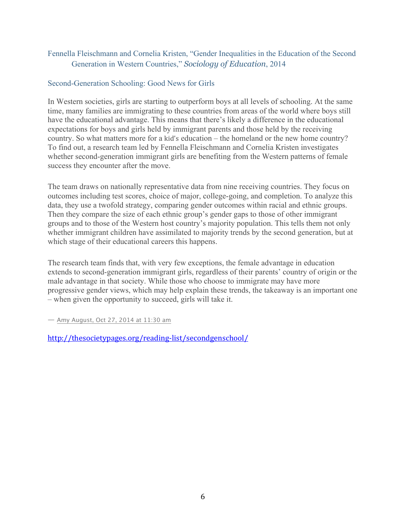## Fennella Fleischmann and Cornelia Kristen, "Gender Inequalities in the Education of the Second Generation in Western Countries," *Sociology of Education*, 2014

#### Second-Generation Schooling: Good News for Girls

In Western societies, girls are starting to outperform boys at all levels of schooling. At the same time, many families are immigrating to these countries from areas of the world where boys still have the educational advantage. This means that there's likely a difference in the educational expectations for boys and girls held by immigrant parents and those held by the receiving country. So what matters more for a kid's education – the homeland or the new home country? To find out, a research team led by Fennella Fleischmann and Cornelia Kristen investigates whether second-generation immigrant girls are benefiting from the Western patterns of female success they encounter after the move.

The team draws on nationally representative data from nine receiving countries. They focus on outcomes including test scores, choice of major, college-going, and completion. To analyze this data, they use a twofold strategy, comparing gender outcomes within racial and ethnic groups. Then they compare the size of each ethnic group's gender gaps to those of other immigrant groups and to those of the Western host country's majority population. This tells them not only whether immigrant children have assimilated to majority trends by the second generation, but at which stage of their educational careers this happens.

The research team finds that, with very few exceptions, the female advantage in education extends to second-generation immigrant girls, regardless of their parents' country of origin or the male advantage in that society. While those who choose to immigrate may have more progressive gender views, which may help explain these trends, the takeaway is an important one – when given the opportunity to succeed, girls will take it.

— Amy August, Oct 27, 2014 at 11:30 am

http://thesocietypages.org/reading-list/secondgenschool/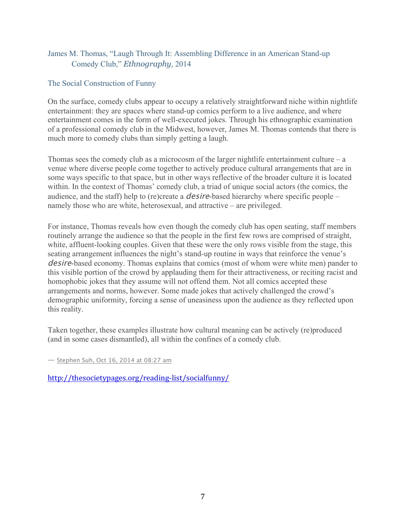## James M. Thomas, "Laugh Through It: Assembling Difference in an American Stand-up Comedy Club," *Ethnography*, 2014

## The Social Construction of Funny

On the surface, comedy clubs appear to occupy a relatively straightforward niche within nightlife entertainment: they are spaces where stand-up comics perform to a live audience, and where entertainment comes in the form of well-executed jokes. Through his ethnographic examination of a professional comedy club in the Midwest, however, James M. Thomas contends that there is much more to comedy clubs than simply getting a laugh.

Thomas sees the comedy club as a microcosm of the larger nightlife entertainment culture – a venue where diverse people come together to actively produce cultural arrangements that are in some ways specific to that space, but in other ways reflective of the broader culture it is located within. In the context of Thomas' comedy club, a triad of unique social actors (the comics, the audience, and the staff) help to (re)create a desire-based hierarchy where specific people – namely those who are white, heterosexual, and attractive – are privileged.

For instance, Thomas reveals how even though the comedy club has open seating, staff members routinely arrange the audience so that the people in the first few rows are comprised of straight, white, affluent-looking couples. Given that these were the only rows visible from the stage, this seating arrangement influences the night's stand-up routine in ways that reinforce the venue's desire-based economy. Thomas explains that comics (most of whom were white men) pander to this visible portion of the crowd by applauding them for their attractiveness, or reciting racist and homophobic jokes that they assume will not offend them. Not all comics accepted these arrangements and norms, however. Some made jokes that actively challenged the crowd's demographic uniformity, forcing a sense of uneasiness upon the audience as they reflected upon this reality.

Taken together, these examples illustrate how cultural meaning can be actively (re)produced (and in some cases dismantled), all within the confines of a comedy club.

— Stephen Suh, Oct 16, 2014 at 08:27 am

http://thesocietypages.org/reading-list/socialfunny/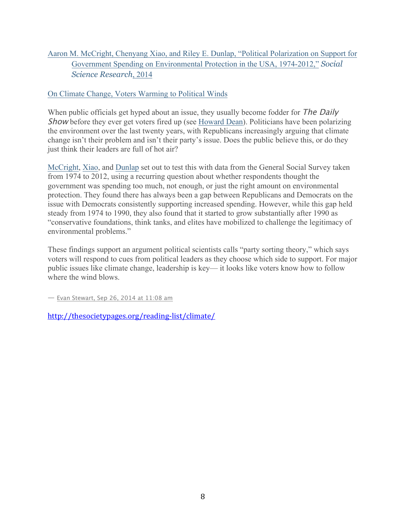# Aaron M. McCright, Chenyang Xiao, and Riley E. Dunlap, "Political Polarization on Support for Government Spending on Environmental Protection in the USA, 1974-2012," *Social Science Research*, 2014

## On Climate Change, Voters Warming to Political Winds

When public officials get hyped about an issue, they usually become fodder for The Daily Show before they ever get voters fired up (see Howard Dean). Politicians have been polarizing the environment over the last twenty years, with Republicans increasingly arguing that climate change isn't their problem and isn't their party's issue. Does the public believe this, or do they just think their leaders are full of hot air?

McCright, Xiao, and Dunlap set out to test this with data from the General Social Survey taken from 1974 to 2012, using a recurring question about whether respondents thought the government was spending too much, not enough, or just the right amount on environmental protection. They found there has always been a gap between Republicans and Democrats on the issue with Democrats consistently supporting increased spending. However, while this gap held steady from 1974 to 1990, they also found that it started to grow substantially after 1990 as "conservative foundations, think tanks, and elites have mobilized to challenge the legitimacy of environmental problems."

These findings support an argument political scientists calls "party sorting theory," which says voters will respond to cues from political leaders as they choose which side to support. For major public issues like climate change, leadership is key— it looks like voters know how to follow where the wind blows.

— Evan Stewart, Sep 26, 2014 at 11:08 am

http://thesocietypages.org/reading-list/climate/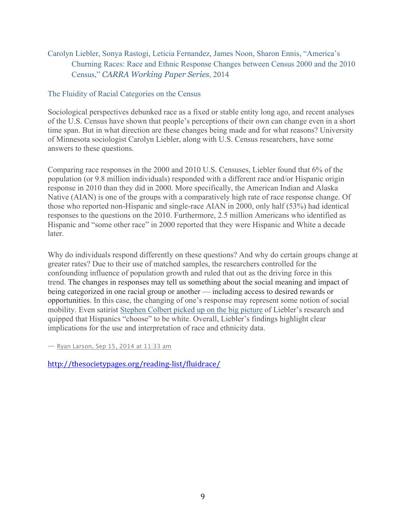# Carolyn Liebler, Sonya Rastogi, Leticia Fernandez, James Noon, Sharon Ennis, "America's Churning Races: Race and Ethnic Response Changes between Census 2000 and the 2010 Census," *CARRA Working Paper Series*, 2014

#### The Fluidity of Racial Categories on the Census

Sociological perspectives debunked race as a fixed or stable entity long ago, and recent analyses of the U.S. Census have shown that people's perceptions of their own can change even in a short time span. But in what direction are these changes being made and for what reasons? University of Minnesota sociologist Carolyn Liebler, along with U.S. Census researchers, have some answers to these questions.

Comparing race responses in the 2000 and 2010 U.S. Censuses, Liebler found that 6% of the population (or 9.8 million individuals) responded with a different race and/or Hispanic origin response in 2010 than they did in 2000. More specifically, the American Indian and Alaska Native (AIAN) is one of the groups with a comparatively high rate of race response change. Of those who reported non-Hispanic and single-race AIAN in 2000, only half (53%) had identical responses to the questions on the 2010. Furthermore, 2.5 million Americans who identified as Hispanic and "some other race" in 2000 reported that they were Hispanic and White a decade later.

Why do individuals respond differently on these questions? And why do certain groups change at greater rates? Due to their use of matched samples, the researchers controlled for the confounding influence of population growth and ruled that out as the driving force in this trend. The changes in responses may tell us something about the social meaning and impact of being categorized in one racial group or another — including access to desired rewards or opportunities. In this case, the changing of one's response may represent some notion of social mobility. Even satirist Stephen Colbert picked up on the big picture of Liebler's research and quipped that Hispanics "choose" to be white. Overall, Liebler's findings highlight clear implications for the use and interpretation of race and ethnicity data.

— Ryan Larson, Sep 15, 2014 at 11:33 am

http://thesocietypages.org/reading-list/fluidrace/